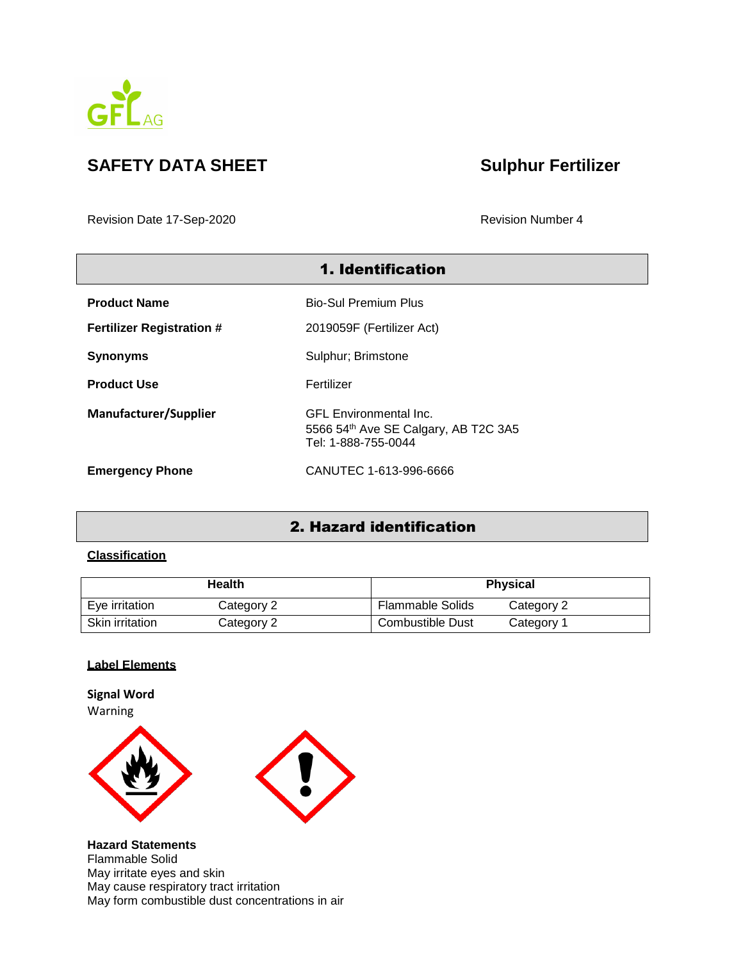

# **SAFETY DATA SHEET Sulphur Fertilizer**

Revision Date 17-Sep-2020 Revision Number 4

| <b>1. Identification</b>         |                                                                                              |  |
|----------------------------------|----------------------------------------------------------------------------------------------|--|
| <b>Product Name</b>              | Bio-Sul Premium Plus                                                                         |  |
| <b>Fertilizer Registration #</b> | 2019059F (Fertilizer Act)                                                                    |  |
| <b>Synonyms</b>                  | Sulphur; Brimstone                                                                           |  |
| <b>Product Use</b>               | Fertilizer                                                                                   |  |
| <b>Manufacturer/Supplier</b>     | <b>GFL Environmental Inc.</b><br>5566 54th Ave SE Calgary, AB T2C 3A5<br>Tel: 1-888-755-0044 |  |
| <b>Emergency Phone</b>           | CANUTEC 1-613-996-6666                                                                       |  |

# 2. Hazard identification

#### **Classification**

| Health          |            | <b>Physical</b>                       |
|-----------------|------------|---------------------------------------|
| Eye irritation  | Category 2 | <b>Flammable Solids</b><br>Category 2 |
| Skin irritation | Category 2 | Combustible Dust<br>Category 1        |

### **Label Elements**

**Signal Word** Warning





**Hazard Statements** Flammable Solid May irritate eyes and skin May cause respiratory tract irritation May form combustible dust concentrations in air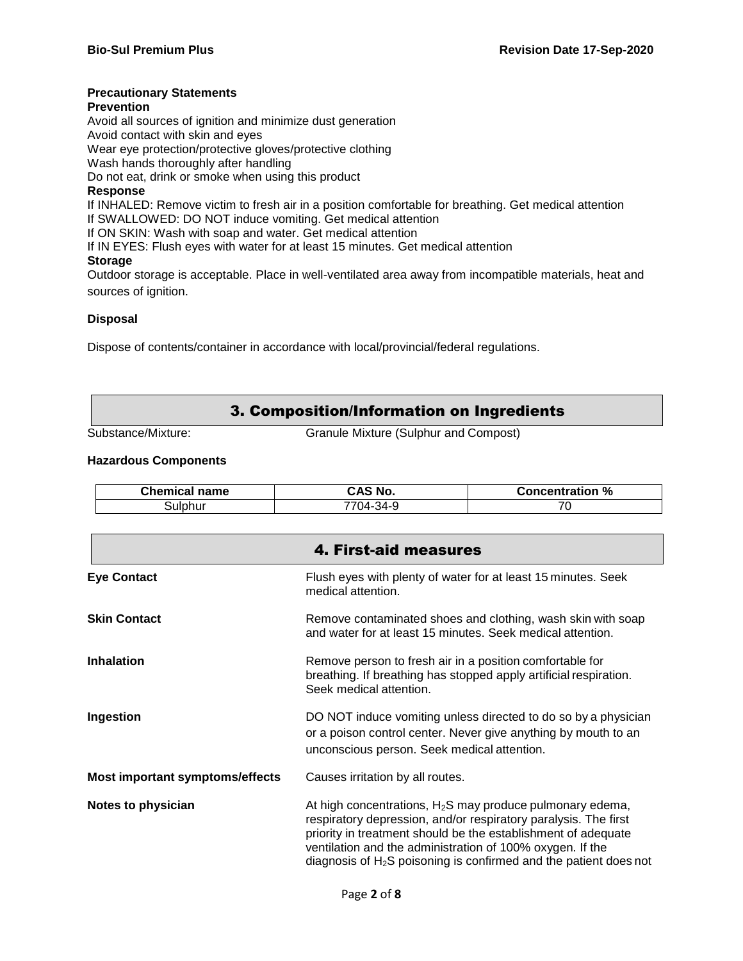#### **Precautionary Statements**

#### **Prevention**

Avoid all sources of ignition and minimize dust generation Avoid contact with skin and eyes

Wear eye protection/protective gloves/protective clothing

Wash hands thoroughly after handling

Do not eat, drink or smoke when using this product

#### **Response**

If INHALED: Remove victim to fresh air in a position comfortable for breathing. Get medical attention If SWALLOWED: DO NOT induce vomiting. Get medical attention

If ON SKIN: Wash with soap and water. Get medical attention

If IN EYES: Flush eyes with water for at least 15 minutes. Get medical attention

#### **Storage**

Outdoor storage is acceptable. Place in well-ventilated area away from incompatible materials, heat and sources of ignition.

#### **Disposal**

Dispose of contents/container in accordance with local/provincial/federal regulations.

### 3. Composition/Information on Ingredients

Substance/Mixture: Granule Mixture (Sulphur and Compost)

#### **Hazardous Components**

| <b>Chemical name</b> | CAS No.           | Concentration % |
|----------------------|-------------------|-----------------|
| sulphur              | $7704 -$<br>-34-9 | 70<br>v         |

|                                        | 4. First-aid measures                                                                                                                                                                                                                                                                                                               |
|----------------------------------------|-------------------------------------------------------------------------------------------------------------------------------------------------------------------------------------------------------------------------------------------------------------------------------------------------------------------------------------|
| <b>Eye Contact</b>                     | Flush eyes with plenty of water for at least 15 minutes. Seek<br>medical attention.                                                                                                                                                                                                                                                 |
| <b>Skin Contact</b>                    | Remove contaminated shoes and clothing, wash skin with soap<br>and water for at least 15 minutes. Seek medical attention.                                                                                                                                                                                                           |
| <b>Inhalation</b>                      | Remove person to fresh air in a position comfortable for<br>breathing. If breathing has stopped apply artificial respiration.<br>Seek medical attention.                                                                                                                                                                            |
| Ingestion                              | DO NOT induce vomiting unless directed to do so by a physician<br>or a poison control center. Never give anything by mouth to an<br>unconscious person. Seek medical attention.                                                                                                                                                     |
| <b>Most important symptoms/effects</b> | Causes irritation by all routes.                                                                                                                                                                                                                                                                                                    |
| <b>Notes to physician</b>              | At high concentrations, $H_2S$ may produce pulmonary edema,<br>respiratory depression, and/or respiratory paralysis. The first<br>priority in treatment should be the establishment of adequate<br>ventilation and the administration of 100% oxygen. If the<br>diagnosis of $H_2S$ poisoning is confirmed and the patient does not |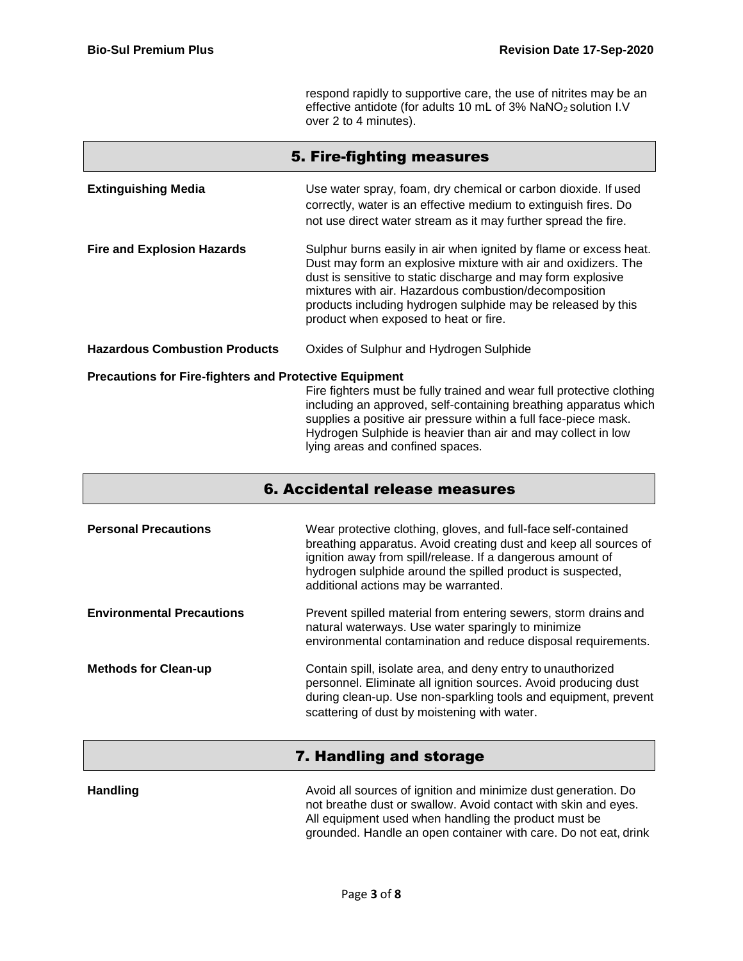respond rapidly to supportive care, the use of nitrites may be an effective antidote (for adults 10 mL of 3% NaNO<sub>2</sub> solution I.V over 2 to 4 minutes).

|                                                               | 5. Fire-fighting measures                                                                                                                                                                                                                                                                                                                                             |
|---------------------------------------------------------------|-----------------------------------------------------------------------------------------------------------------------------------------------------------------------------------------------------------------------------------------------------------------------------------------------------------------------------------------------------------------------|
| <b>Extinguishing Media</b>                                    | Use water spray, foam, dry chemical or carbon dioxide. If used<br>correctly, water is an effective medium to extinguish fires. Do<br>not use direct water stream as it may further spread the fire.                                                                                                                                                                   |
| <b>Fire and Explosion Hazards</b>                             | Sulphur burns easily in air when ignited by flame or excess heat.<br>Dust may form an explosive mixture with air and oxidizers. The<br>dust is sensitive to static discharge and may form explosive<br>mixtures with air. Hazardous combustion/decomposition<br>products including hydrogen sulphide may be released by this<br>product when exposed to heat or fire. |
| <b>Hazardous Combustion Products</b>                          | Oxides of Sulphur and Hydrogen Sulphide                                                                                                                                                                                                                                                                                                                               |
| <b>Precautions for Fire-fighters and Protective Equipment</b> | Fire fighters must be fully trained and wear full protective clothing<br>including an approved, self-containing breathing apparatus which<br>supplies a positive air pressure within a full face-piece mask.<br>Hydrogen Sulphide is heavier than air and may collect in low<br>lying areas and confined spaces.                                                      |

| 6. Accidental release measures |  |
|--------------------------------|--|
|                                |  |

| <b>Personal Precautions</b>      | Wear protective clothing, gloves, and full-face self-contained<br>breathing apparatus. Avoid creating dust and keep all sources of<br>ignition away from spill/release. If a dangerous amount of<br>hydrogen sulphide around the spilled product is suspected,<br>additional actions may be warranted. |
|----------------------------------|--------------------------------------------------------------------------------------------------------------------------------------------------------------------------------------------------------------------------------------------------------------------------------------------------------|
| <b>Environmental Precautions</b> | Prevent spilled material from entering sewers, storm drains and<br>natural waterways. Use water sparingly to minimize<br>environmental contamination and reduce disposal requirements.                                                                                                                 |
| <b>Methods for Clean-up</b>      | Contain spill, isolate area, and deny entry to unauthorized<br>personnel. Eliminate all ignition sources. Avoid producing dust<br>during clean-up. Use non-sparkling tools and equipment, prevent<br>scattering of dust by moistening with water.                                                      |

# 7. Handling and storage

**Handling Handling** Avoid all sources of ignition and minimize dust generation. Do not breathe dust or swallow. Avoid contact with skin and eyes. All equipment used when handling the product must be grounded. Handle an open container with care. Do not eat, drink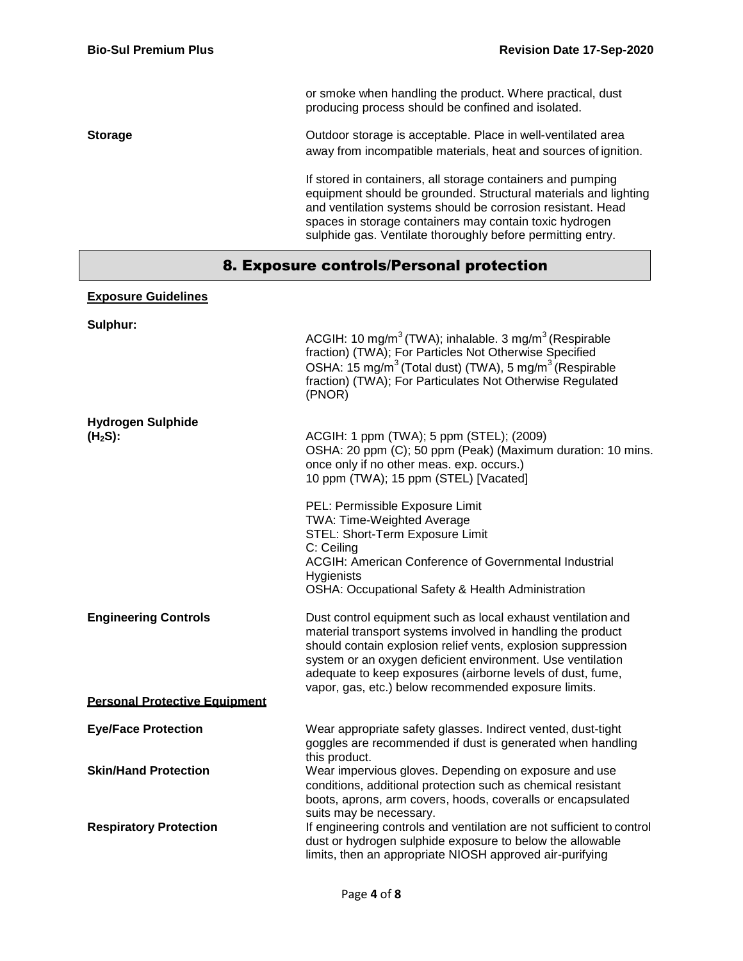or smoke when handling the product. Where practical, dust producing process should be confined and isolated.

#### **Storage Storage COULD COULD COULD COULD COULD COULD COULD COULD COULD COULD COULD COULD COULD COULD COULD COULD COULD COULD COULD COULD COULD COULD COULD COULD COULD C** away from incompatible materials, heat and sources of ignition.

If stored in containers, all storage containers and pumping equipment should be grounded. Structural materials and lighting and ventilation systems should be corrosion resistant. Head spaces in storage containers may contain toxic hydrogen sulphide gas. Ventilate thoroughly before permitting entry.

# 8. Exposure controls/Personal protection

### **Exposure Guidelines**

| Sulphur:                              |                                                                                                                                                                                                                                                                                                                                                                                 |
|---------------------------------------|---------------------------------------------------------------------------------------------------------------------------------------------------------------------------------------------------------------------------------------------------------------------------------------------------------------------------------------------------------------------------------|
|                                       | ACGIH: 10 mg/m <sup>3</sup> (TWA); inhalable. 3 mg/m <sup>3</sup> (Respirable<br>fraction) (TWA); For Particles Not Otherwise Specified<br>OSHA: 15 mg/m <sup>3</sup> (Total dust) (TWA), 5 mg/m <sup>3</sup> (Respirable<br>fraction) (TWA); For Particulates Not Otherwise Regulated<br>(PNOR)                                                                                |
| <b>Hydrogen Sulphide</b><br>$(H2S)$ : | ACGIH: 1 ppm (TWA); 5 ppm (STEL); (2009)<br>OSHA: 20 ppm (C); 50 ppm (Peak) (Maximum duration: 10 mins.<br>once only if no other meas. exp. occurs.)<br>10 ppm (TWA); 15 ppm (STEL) [Vacated]                                                                                                                                                                                   |
|                                       | PEL: Permissible Exposure Limit<br><b>TWA: Time-Weighted Average</b><br>STEL: Short-Term Exposure Limit<br>C: Ceiling<br><b>ACGIH: American Conference of Governmental Industrial</b><br>Hygienists<br>OSHA: Occupational Safety & Health Administration                                                                                                                        |
| <b>Engineering Controls</b>           | Dust control equipment such as local exhaust ventilation and<br>material transport systems involved in handling the product<br>should contain explosion relief vents, explosion suppression<br>system or an oxygen deficient environment. Use ventilation<br>adequate to keep exposures (airborne levels of dust, fume,<br>vapor, gas, etc.) below recommended exposure limits. |
| <b>Personal Protective Equipment</b>  |                                                                                                                                                                                                                                                                                                                                                                                 |
| <b>Eye/Face Protection</b>            | Wear appropriate safety glasses. Indirect vented, dust-tight<br>goggles are recommended if dust is generated when handling<br>this product.                                                                                                                                                                                                                                     |
| <b>Skin/Hand Protection</b>           | Wear impervious gloves. Depending on exposure and use<br>conditions, additional protection such as chemical resistant<br>boots, aprons, arm covers, hoods, coveralls or encapsulated                                                                                                                                                                                            |
| <b>Respiratory Protection</b>         | suits may be necessary.<br>If engineering controls and ventilation are not sufficient to control<br>dust or hydrogen sulphide exposure to below the allowable<br>limits, then an appropriate NIOSH approved air-purifying                                                                                                                                                       |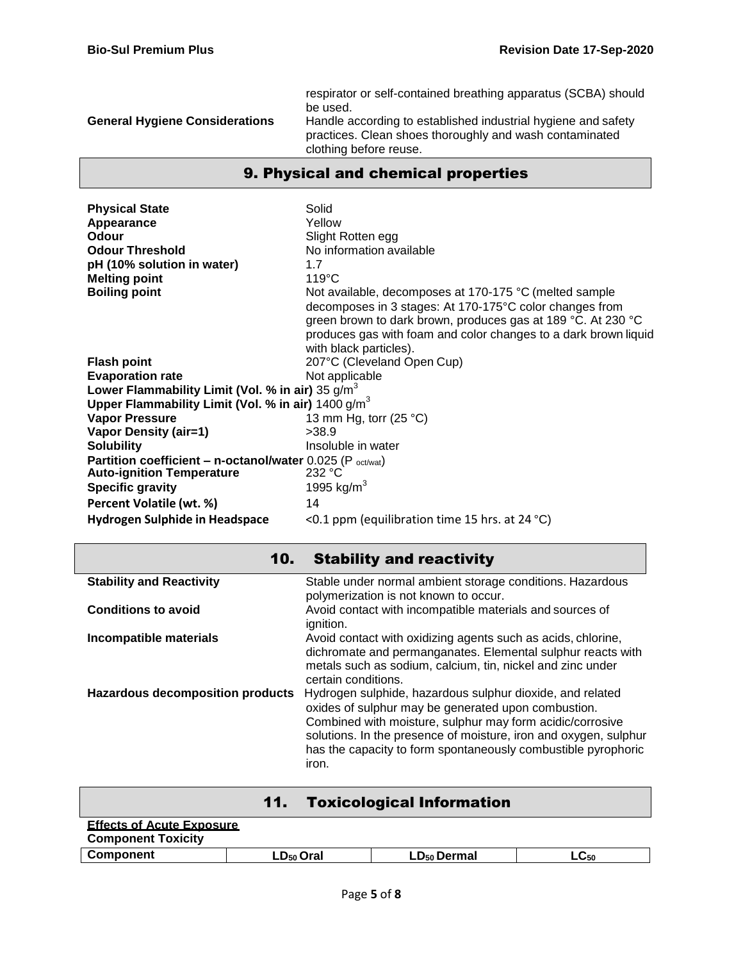| <b>General Hygiene Considerations</b> | respirator or self-contained breathing apparatus (SCBA) should<br>be used.<br>Handle according to established industrial hygiene and safety<br>practices. Clean shoes thoroughly and wash contaminated<br>clothing before reuse. |
|---------------------------------------|----------------------------------------------------------------------------------------------------------------------------------------------------------------------------------------------------------------------------------|
|---------------------------------------|----------------------------------------------------------------------------------------------------------------------------------------------------------------------------------------------------------------------------------|

# 9. Physical and chemical properties

| <b>Physical State</b><br>Appearance<br><b>Odour</b><br><b>Odour Threshold</b><br>pH (10% solution in water)<br><b>Melting point</b><br><b>Boiling point</b> | Solid<br>Yellow<br>Slight Rotten egg<br>No information available<br>1.7<br>$119^{\circ}$ C<br>Not available, decomposes at 170-175 °C (melted sample<br>decomposes in 3 stages: At 170-175°C color changes from<br>green brown to dark brown, produces gas at 189 °C. At 230 °C |
|-------------------------------------------------------------------------------------------------------------------------------------------------------------|---------------------------------------------------------------------------------------------------------------------------------------------------------------------------------------------------------------------------------------------------------------------------------|
|                                                                                                                                                             | produces gas with foam and color changes to a dark brown liquid<br>with black particles).                                                                                                                                                                                       |
| <b>Flash point</b>                                                                                                                                          | 207°C (Cleveland Open Cup)                                                                                                                                                                                                                                                      |
| <b>Evaporation rate</b>                                                                                                                                     | Not applicable                                                                                                                                                                                                                                                                  |
| Lower Flammability Limit (Vol. % in air) 35 $q/m^3$                                                                                                         |                                                                                                                                                                                                                                                                                 |
| Upper Flammability Limit (Vol. % in air) $1400 \text{ g/m}^3$                                                                                               |                                                                                                                                                                                                                                                                                 |
| <b>Vapor Pressure</b>                                                                                                                                       | 13 mm Hg, torr $(25 °C)$                                                                                                                                                                                                                                                        |
| <b>Vapor Density (air=1)</b>                                                                                                                                | >38.9                                                                                                                                                                                                                                                                           |
| <b>Solubility</b>                                                                                                                                           | Insoluble in water                                                                                                                                                                                                                                                              |
| <b>Partition coefficient - n-octanol/water</b> 0.025 (P $_{octwat}$ )                                                                                       |                                                                                                                                                                                                                                                                                 |
| <b>Auto-ignition Temperature</b>                                                                                                                            | 232 °C                                                                                                                                                                                                                                                                          |
| <b>Specific gravity</b>                                                                                                                                     | 1995 kg/m <sup>3</sup>                                                                                                                                                                                                                                                          |
| Percent Volatile (wt. %)                                                                                                                                    | 14                                                                                                                                                                                                                                                                              |
| Hydrogen Sulphide in Headspace                                                                                                                              | <0.1 ppm (equilibration time 15 hrs. at 24 $^{\circ}$ C)                                                                                                                                                                                                                        |

| 10.                                     | <b>Stability and reactivity</b>                                                                                                                                                                                                                                                                                             |
|-----------------------------------------|-----------------------------------------------------------------------------------------------------------------------------------------------------------------------------------------------------------------------------------------------------------------------------------------------------------------------------|
| <b>Stability and Reactivity</b>         | Stable under normal ambient storage conditions. Hazardous<br>polymerization is not known to occur.                                                                                                                                                                                                                          |
| <b>Conditions to avoid</b>              | Avoid contact with incompatible materials and sources of<br>ignition.                                                                                                                                                                                                                                                       |
| Incompatible materials                  | Avoid contact with oxidizing agents such as acids, chlorine,<br>dichromate and permanganates. Elemental sulphur reacts with<br>metals such as sodium, calcium, tin, nickel and zinc under<br>certain conditions.                                                                                                            |
| <b>Hazardous decomposition products</b> | Hydrogen sulphide, hazardous sulphur dioxide, and related<br>oxides of sulphur may be generated upon combustion.<br>Combined with moisture, sulphur may form acidic/corrosive<br>solutions. In the presence of moisture, iron and oxygen, sulphur<br>has the capacity to form spontaneously combustible pyrophoric<br>iron. |

| <b>Toxicological Information</b><br>11.                       |                |                         |           |
|---------------------------------------------------------------|----------------|-------------------------|-----------|
| <b>Effects of Acute Exposure</b><br><b>Component Toxicity</b> |                |                         |           |
| Component                                                     | $LD_{50}$ Oral | LD <sub>50</sub> Dermal | $LC_{50}$ |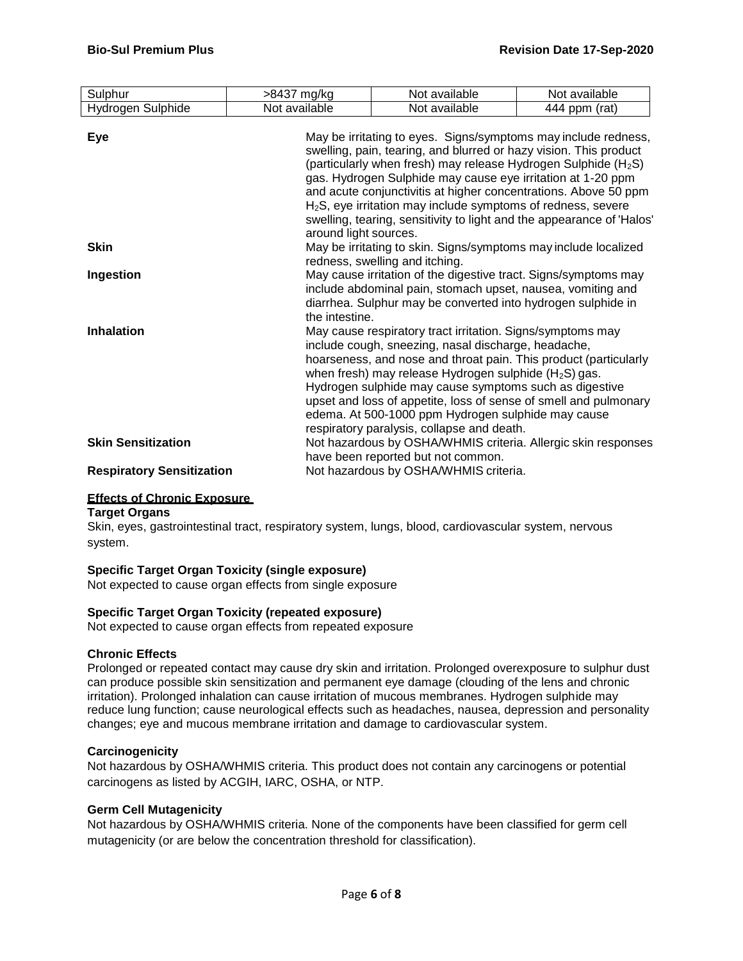| Sulphur                          | >8437 mg/kg                                                                                                                                                                                                                                                                                                                                                                                                                                                                                                             | Not available                                                                                                                                                                                                                                                                                                                                                                                                                                                                      | Not available |
|----------------------------------|-------------------------------------------------------------------------------------------------------------------------------------------------------------------------------------------------------------------------------------------------------------------------------------------------------------------------------------------------------------------------------------------------------------------------------------------------------------------------------------------------------------------------|------------------------------------------------------------------------------------------------------------------------------------------------------------------------------------------------------------------------------------------------------------------------------------------------------------------------------------------------------------------------------------------------------------------------------------------------------------------------------------|---------------|
| Hydrogen Sulphide                | Not available                                                                                                                                                                                                                                                                                                                                                                                                                                                                                                           | Not available                                                                                                                                                                                                                                                                                                                                                                                                                                                                      | 444 ppm (rat) |
| <b>Eye</b>                       | May be irritating to eyes. Signs/symptoms may include redness,<br>swelling, pain, tearing, and blurred or hazy vision. This product<br>(particularly when fresh) may release Hydrogen Sulphide $(H_2S)$<br>gas. Hydrogen Sulphide may cause eye irritation at 1-20 ppm<br>and acute conjunctivitis at higher concentrations. Above 50 ppm<br>H <sub>2</sub> S, eye irritation may include symptoms of redness, severe<br>swelling, tearing, sensitivity to light and the appearance of 'Halos'<br>around light sources. |                                                                                                                                                                                                                                                                                                                                                                                                                                                                                    |               |
| <b>Skin</b>                      |                                                                                                                                                                                                                                                                                                                                                                                                                                                                                                                         | May be irritating to skin. Signs/symptoms may include localized<br>redness, swelling and itching.                                                                                                                                                                                                                                                                                                                                                                                  |               |
| Ingestion                        | the intestine.                                                                                                                                                                                                                                                                                                                                                                                                                                                                                                          | May cause irritation of the digestive tract. Signs/symptoms may<br>include abdominal pain, stomach upset, nausea, vomiting and<br>diarrhea. Sulphur may be converted into hydrogen sulphide in                                                                                                                                                                                                                                                                                     |               |
| <b>Inhalation</b>                |                                                                                                                                                                                                                                                                                                                                                                                                                                                                                                                         | May cause respiratory tract irritation. Signs/symptoms may<br>include cough, sneezing, nasal discharge, headache,<br>hoarseness, and nose and throat pain. This product (particularly<br>when fresh) may release Hydrogen sulphide $(H_2S)$ gas.<br>Hydrogen sulphide may cause symptoms such as digestive<br>upset and loss of appetite, loss of sense of smell and pulmonary<br>edema. At 500-1000 ppm Hydrogen sulphide may cause<br>respiratory paralysis, collapse and death. |               |
| <b>Skin Sensitization</b>        |                                                                                                                                                                                                                                                                                                                                                                                                                                                                                                                         | Not hazardous by OSHA/WHMIS criteria. Allergic skin responses<br>have been reported but not common.                                                                                                                                                                                                                                                                                                                                                                                |               |
| <b>Respiratory Sensitization</b> |                                                                                                                                                                                                                                                                                                                                                                                                                                                                                                                         | Not hazardous by OSHA/WHMIS criteria.                                                                                                                                                                                                                                                                                                                                                                                                                                              |               |

## **Effects of Chronic Exposure**

#### **Target Organs**

Skin, eyes, gastrointestinal tract, respiratory system, lungs, blood, cardiovascular system, nervous system.

#### **Specific Target Organ Toxicity (single exposure)**

Not expected to cause organ effects from single exposure

#### **Specific Target Organ Toxicity (repeated exposure)**

Not expected to cause organ effects from repeated exposure

#### **Chronic Effects**

Prolonged or repeated contact may cause dry skin and irritation. Prolonged overexposure to sulphur dust can produce possible skin sensitization and permanent eye damage (clouding of the lens and chronic irritation). Prolonged inhalation can cause irritation of mucous membranes. Hydrogen sulphide may reduce lung function; cause neurological effects such as headaches, nausea, depression and personality changes; eye and mucous membrane irritation and damage to cardiovascular system.

#### **Carcinogenicity**

Not hazardous by OSHA/WHMIS criteria. This product does not contain any carcinogens or potential carcinogens as listed by ACGIH, IARC, OSHA, or NTP.

#### **Germ Cell Mutagenicity**

Not hazardous by OSHA/WHMIS criteria. None of the components have been classified for germ cell mutagenicity (or are below the concentration threshold for classification).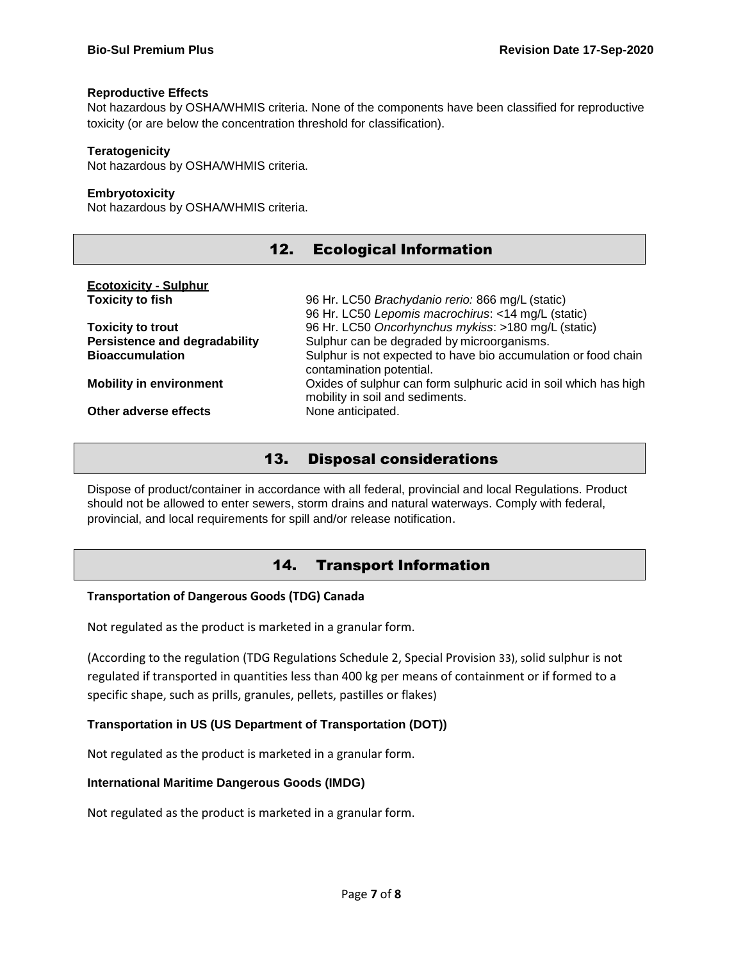#### **Reproductive Effects**

Not hazardous by OSHA/WHMIS criteria. None of the components have been classified for reproductive toxicity (or are below the concentration threshold for classification).

### **Teratogenicity**

Not hazardous by OSHA/WHMIS criteria.

#### **Embryotoxicity**

Not hazardous by OSHA/WHMIS criteria.

| 12.                                  | <b>Ecological Information</b>                                    |
|--------------------------------------|------------------------------------------------------------------|
| <b>Ecotoxicity - Sulphur</b>         |                                                                  |
| <b>Toxicity to fish</b>              | 96 Hr. LC50 Brachydanio rerio: 866 mg/L (static)                 |
|                                      | 96 Hr. LC50 Lepomis macrochirus: <14 mg/L (static)               |
| <b>Toxicity to trout</b>             | 96 Hr. LC50 Oncorhynchus mykiss: >180 mg/L (static)              |
| <b>Persistence and degradability</b> | Sulphur can be degraded by microorganisms.                       |
| <b>Bioaccumulation</b>               | Sulphur is not expected to have bio accumulation or food chain   |
|                                      | contamination potential.                                         |
| <b>Mobility in environment</b>       | Oxides of sulphur can form sulphuric acid in soil which has high |
|                                      | mobility in soil and sediments.                                  |
| Other adverse effects                | None anticipated.                                                |

## 13. Disposal considerations

Dispose of product/container in accordance with all federal, provincial and local Regulations. Product should not be allowed to enter sewers, storm drains and natural waterways. Comply with federal, provincial, and local requirements for spill and/or release notification.

# 14. Transport Information

#### **Transportation of Dangerous Goods (TDG) Canada**

Not regulated as the product is marketed in a granular form.

(According to the regulation (TDG Regulations Schedule 2, Special Provision 33), solid sulphur is not regulated if transported in quantities less than 400 kg per means of containment or if formed to a specific shape, such as prills, granules, pellets, pastilles or flakes)

### **Transportation in US (US Department of Transportation (DOT))**

Not regulated as the product is marketed in a granular form.

#### **International Maritime Dangerous Goods (IMDG)**

Not regulated as the product is marketed in a granular form.